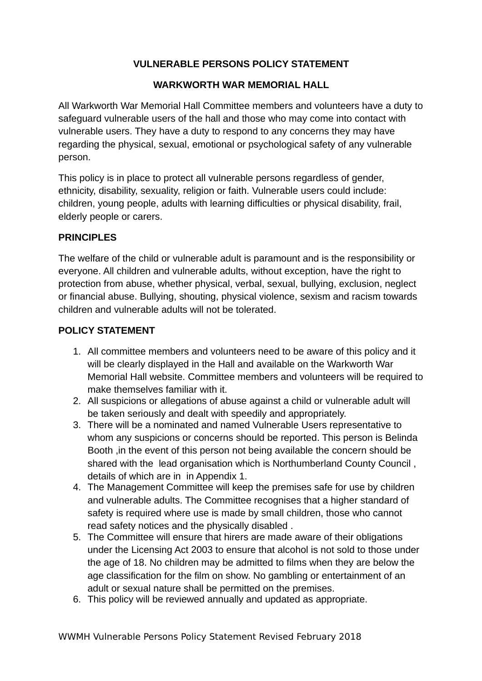# **VULNERABLE PERSONS POLICY STATEMENT**

## **WARKWORTH WAR MEMORIAL HALL**

All Warkworth War Memorial Hall Committee members and volunteers have a duty to safeguard vulnerable users of the hall and those who may come into contact with vulnerable users. They have a duty to respond to any concerns they may have regarding the physical, sexual, emotional or psychological safety of any vulnerable person.

This policy is in place to protect all vulnerable persons regardless of gender, ethnicity, disability, sexuality, religion or faith. Vulnerable users could include: children, young people, adults with learning difficulties or physical disability, frail, elderly people or carers.

## **PRINCIPLES**

The welfare of the child or vulnerable adult is paramount and is the responsibility or everyone. All children and vulnerable adults, without exception, have the right to protection from abuse, whether physical, verbal, sexual, bullying, exclusion, neglect or financial abuse. Bullying, shouting, physical violence, sexism and racism towards children and vulnerable adults will not be tolerated.

## **POLICY STATEMENT**

- 1. All committee members and volunteers need to be aware of this policy and it will be clearly displayed in the Hall and available on the Warkworth War Memorial Hall website. Committee members and volunteers will be required to make themselves familiar with it.
- 2. All suspicions or allegations of abuse against a child or vulnerable adult will be taken seriously and dealt with speedily and appropriately.
- 3. There will be a nominated and named Vulnerable Users representative to whom any suspicions or concerns should be reported. This person is Belinda Booth ,in the event of this person not being available the concern should be shared with the lead organisation which is Northumberland County Council , details of which are in in Appendix 1.
- 4. The Management Committee will keep the premises safe for use by children and vulnerable adults. The Committee recognises that a higher standard of safety is required where use is made by small children, those who cannot read safety notices and the physically disabled .
- 5. The Committee will ensure that hirers are made aware of their obligations under the Licensing Act 2003 to ensure that alcohol is not sold to those under the age of 18. No children may be admitted to films when they are below the age classification for the film on show. No gambling or entertainment of an adult or sexual nature shall be permitted on the premises.
- 6. This policy will be reviewed annually and updated as appropriate.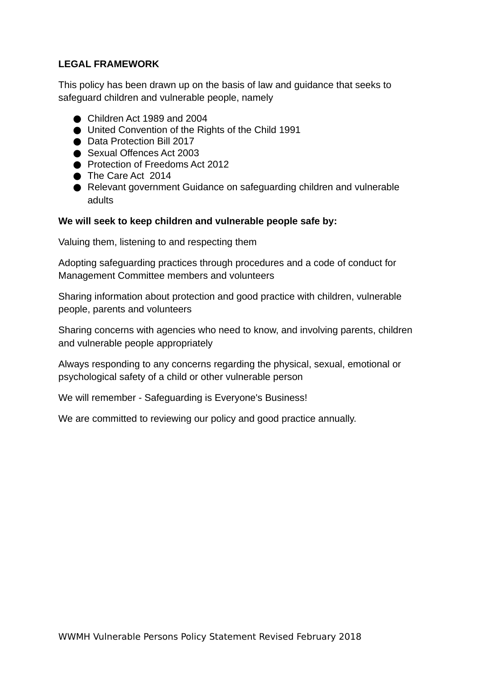## **LEGAL FRAMEWORK**

This policy has been drawn up on the basis of law and guidance that seeks to safeguard children and vulnerable people, namely

- Children Act 1989 and 2004
- United Convention of the Rights of the Child 1991
- Data Protection Bill 2017
- Sexual Offences Act 2003
- Protection of Freedoms Act 2012
- The Care Act 2014
- Relevant government Guidance on safeguarding children and vulnerable adults

#### **We will seek to keep children and vulnerable people safe by:**

Valuing them, listening to and respecting them

Adopting safeguarding practices through procedures and a code of conduct for Management Committee members and volunteers

Sharing information about protection and good practice with children, vulnerable people, parents and volunteers

Sharing concerns with agencies who need to know, and involving parents, children and vulnerable people appropriately

Always responding to any concerns regarding the physical, sexual, emotional or psychological safety of a child or other vulnerable person

We will remember - Safeguarding is Everyone's Business!

We are committed to reviewing our policy and good practice annually.